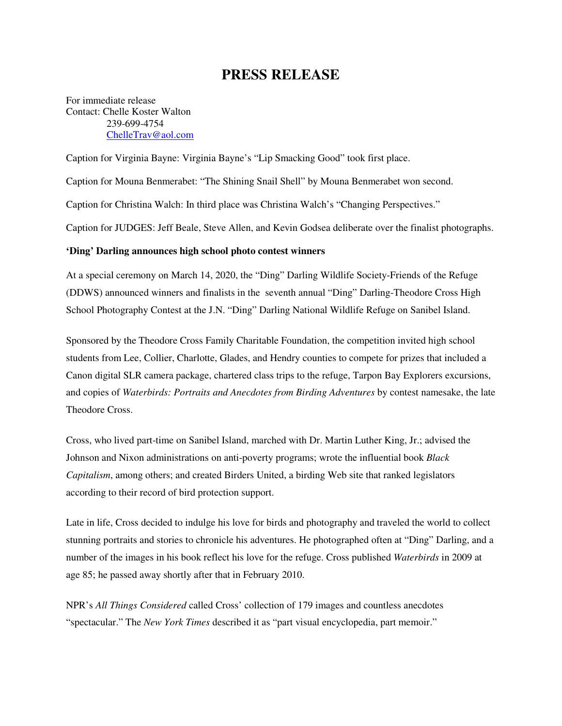## **PRESS RELEASE**

For immediate release Contact: Chelle Koster Walton 239-699-4754 ChelleTrav@aol.com

Caption for Virginia Bayne: Virginia Bayne's "Lip Smacking Good" took first place.

Caption for Mouna Benmerabet: "The Shining Snail Shell" by Mouna Benmerabet won second.

Caption for Christina Walch: In third place was Christina Walch's "Changing Perspectives."

Caption for JUDGES: Jeff Beale, Steve Allen, and Kevin Godsea deliberate over the finalist photographs.

## **'Ding' Darling announces high school photo contest winners**

At a special ceremony on March 14, 2020, the "Ding" Darling Wildlife Society-Friends of the Refuge (DDWS) announced winners and finalists in the seventh annual "Ding" Darling-Theodore Cross High School Photography Contest at the J.N. "Ding" Darling National Wildlife Refuge on Sanibel Island.

Sponsored by the Theodore Cross Family Charitable Foundation, the competition invited high school students from Lee, Collier, Charlotte, Glades, and Hendry counties to compete for prizes that included a Canon digital SLR camera package, chartered class trips to the refuge, Tarpon Bay Explorers excursions, and copies of *Waterbirds: Portraits and Anecdotes from Birding Adventures* by contest namesake, the late Theodore Cross.

Cross, who lived part-time on Sanibel Island, marched with Dr. Martin Luther King, Jr.; advised the Johnson and Nixon administrations on anti-poverty programs; wrote the influential book *Black Capitalism*, among others; and created Birders United, a birding Web site that ranked legislators according to their record of bird protection support.

Late in life, Cross decided to indulge his love for birds and photography and traveled the world to collect stunning portraits and stories to chronicle his adventures. He photographed often at "Ding" Darling, and a number of the images in his book reflect his love for the refuge. Cross published *Waterbirds* in 2009 at age 85; he passed away shortly after that in February 2010.

NPR's *All Things Considered* called Cross' collection of 179 images and countless anecdotes "spectacular." The *New York Times* described it as "part visual encyclopedia, part memoir."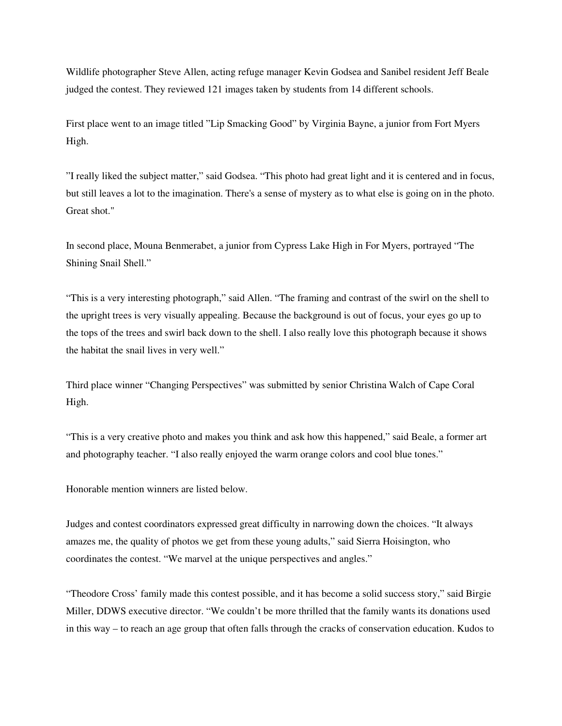Wildlife photographer Steve Allen, acting refuge manager Kevin Godsea and Sanibel resident Jeff Beale judged the contest. They reviewed 121 images taken by students from 14 different schools.

First place went to an image titled "Lip Smacking Good" by Virginia Bayne, a junior from Fort Myers High.

"I really liked the subject matter," said Godsea. "This photo had great light and it is centered and in focus, but still leaves a lot to the imagination. There's a sense of mystery as to what else is going on in the photo. Great shot."

In second place, Mouna Benmerabet, a junior from Cypress Lake High in For Myers, portrayed "The Shining Snail Shell."

"This is a very interesting photograph," said Allen. "The framing and contrast of the swirl on the shell to the upright trees is very visually appealing. Because the background is out of focus, your eyes go up to the tops of the trees and swirl back down to the shell. I also really love this photograph because it shows the habitat the snail lives in very well."

Third place winner "Changing Perspectives" was submitted by senior Christina Walch of Cape Coral High.

"This is a very creative photo and makes you think and ask how this happened," said Beale, a former art and photography teacher. "I also really enjoyed the warm orange colors and cool blue tones."

Honorable mention winners are listed below.

Judges and contest coordinators expressed great difficulty in narrowing down the choices. "It always amazes me, the quality of photos we get from these young adults," said Sierra Hoisington, who coordinates the contest. "We marvel at the unique perspectives and angles."

"Theodore Cross' family made this contest possible, and it has become a solid success story," said Birgie Miller, DDWS executive director. "We couldn't be more thrilled that the family wants its donations used in this way – to reach an age group that often falls through the cracks of conservation education. Kudos to